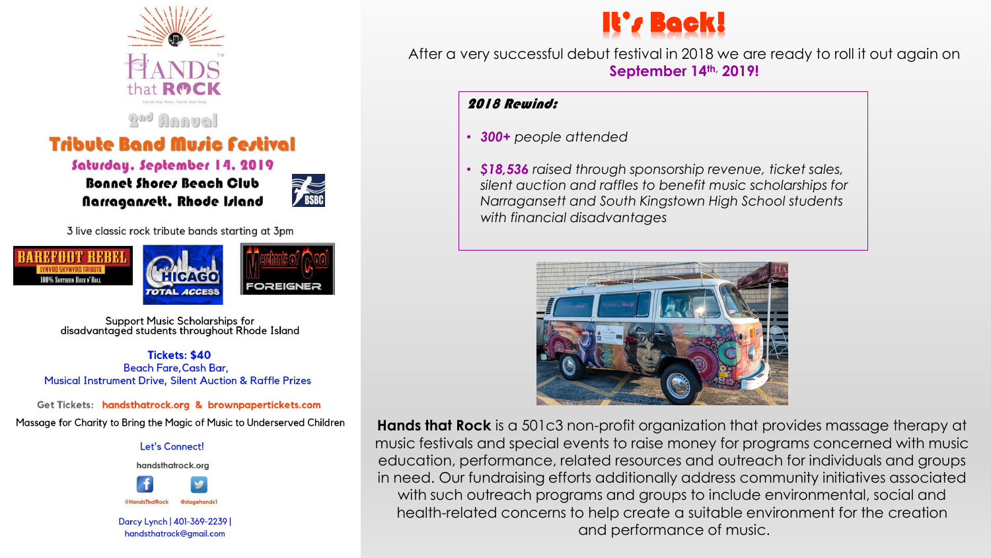

Saturday, September 14, 2019 Bonnet Shores Beach Club Narragansett. Rhode Island



3 live classic rock tribute bands starting at 3pm





**Support Music Scholarships for** disadvantaged students throughout Rhode Island

**Tickets: \$40 Beach Fare, Cash Bar, Musical Instrument Drive, Silent Auction & Raffle Prizes** 

Get Tickets: handsthatrock.org & brownpapertickets.com Massage for Charity to Bring the Magic of Music to Underserved Children

## Let's Connect!



Darcy Lynch | 401-369-2239 | handsthatrock@gmail.com



After a very successful debut festival in 2018 we are ready to roll it out again on **September 14th, 2019!**

## 2018 Rewind:

• *300+ people attended*

• *\$18,536 raised through sponsorship revenue, ticket sales, silent auction and raffles to benefit music scholarships for Narragansett and South Kingstown High School students with financial disadvantages*



**Hands that Rock** is a 501c3 non-profit organization that provides massage therapy at music festivals and special events to raise money for programs concerned with music education, performance, related resources and outreach for individuals and groups in need. Our fundraising efforts additionally address community initiatives associated with such outreach programs and groups to include environmental, social and health-related concerns to help create a suitable environment for the creation and performance of music.